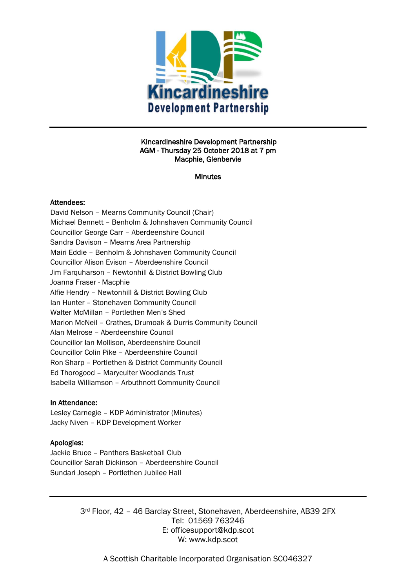

#### Kincardineshire Development Partnership AGM - Thursday 25 October 2018 at 7 pm Macphie, Glenbervie

#### **Minutes**

#### Attendees:

David Nelson – Mearns Community Council (Chair) Michael Bennett – Benholm & Johnshaven Community Council Councillor George Carr – Aberdeenshire Council Sandra Davison – Mearns Area Partnership Mairi Eddie – Benholm & Johnshaven Community Council Councillor Alison Evison – Aberdeenshire Council Jim Farquharson – Newtonhill & District Bowling Club Joanna Fraser - Macphie Alfie Hendry – Newtonhill & District Bowling Club Ian Hunter – Stonehaven Community Council Walter McMillan – Portlethen Men's Shed Marion McNeil – Crathes, Drumoak & Durris Community Council Alan Melrose – Aberdeenshire Council Councillor Ian Mollison, Aberdeenshire Council Councillor Colin Pike – Aberdeenshire Council Ron Sharp – Portlethen & District Community Council Ed Thorogood – Maryculter Woodlands Trust Isabella Williamson – Arbuthnott Community Council

## In Attendance:

Lesley Carnegie – KDP Administrator (Minutes) Jacky Niven – KDP Development Worker

## Apologies:

Jackie Bruce – Panthers Basketball Club Councillor Sarah Dickinson – Aberdeenshire Council Sundari Joseph – Portlethen Jubilee Hall

> 3rd Floor, 42 – 46 Barclay Street, Stonehaven, Aberdeenshire, AB39 2FX Tel: 01569 763246 E: officesupport@kdp.scot W: www.kdp.scot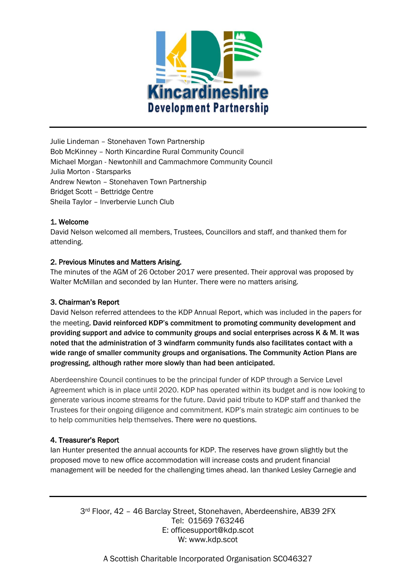

Julie Lindeman – Stonehaven Town Partnership Bob McKinney – North Kincardine Rural Community Council Michael Morgan - Newtonhill and Cammachmore Community Council Julia Morton - Starsparks Andrew Newton – Stonehaven Town Partnership Bridget Scott – Bettridge Centre Sheila Taylor – Inverbervie Lunch Club

# 1. Welcome

David Nelson welcomed all members, Trustees, Councillors and staff, and thanked them for attending.

## 2. Previous Minutes and Matters Arising.

The minutes of the AGM of 26 October 2017 were presented. Their approval was proposed by Walter McMillan and seconded by Ian Hunter. There were no matters arising.

## 3. Chairman's Report

David Nelson referred attendees to the KDP Annual Report, which was included in the papers for the meeting. David reinforced KDP's commitment to promoting community development and providing support and advice to community groups and social enterprises across K & M. It was noted that the administration of 3 windfarm community funds also facilitates contact with a wide range of smaller community groups and organisations. The Community Action Plans are progressing, although rather more slowly than had been anticipated.

Aberdeenshire Council continues to be the principal funder of KDP through a Service Level Agreement which is in place until 2020. KDP has operated within its budget and is now looking to generate various income streams for the future. David paid tribute to KDP staff and thanked the Trustees for their ongoing diligence and commitment. KDP's main strategic aim continues to be to help communities help themselves. There were no questions.

## 4. Treasurer's Report

Ian Hunter presented the annual accounts for KDP. The reserves have grown slightly but the proposed move to new office accommodation will increase costs and prudent financial management will be needed for the challenging times ahead. Ian thanked Lesley Carnegie and

3rd Floor, 42 – 46 Barclay Street, Stonehaven, Aberdeenshire, AB39 2FX Tel: 01569 763246 E: officesupport@kdp.scot W: www.kdp.scot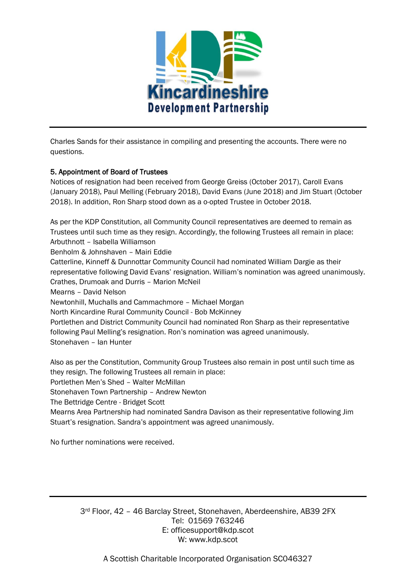

Charles Sands for their assistance in compiling and presenting the accounts. There were no questions.

# 5. Appointment of Board of Trustees

Notices of resignation had been received from George Greiss (October 2017), Caroll Evans (January 2018), Paul Melling (February 2018), David Evans (June 2018) and Jim Stuart (October 2018). In addition, Ron Sharp stood down as a o-opted Trustee in October 2018.

As per the KDP Constitution, all Community Council representatives are deemed to remain as Trustees until such time as they resign. Accordingly, the following Trustees all remain in place: Arbuthnott – Isabella Williamson Benholm & Johnshaven – Mairi Eddie Catterline, Kinneff & Dunnottar Community Council had nominated William Dargie as their representative following David Evans' resignation. William's nomination was agreed unanimously. Crathes, Drumoak and Durris – Marion McNeil Mearns – David Nelson Newtonhill, Muchalls and Cammachmore – Michael Morgan North Kincardine Rural Community Council - Bob McKinney Portlethen and District Community Council had nominated Ron Sharp as their representative following Paul Melling's resignation. Ron's nomination was agreed unanimously. Stonehaven – Ian Hunter

Also as per the Constitution, Community Group Trustees also remain in post until such time as they resign. The following Trustees all remain in place:

Portlethen Men's Shed – Walter McMillan

Stonehaven Town Partnership – Andrew Newton

The Bettridge Centre - Bridget Scott

Mearns Area Partnership had nominated Sandra Davison as their representative following Jim Stuart's resignation. Sandra's appointment was agreed unanimously.

No further nominations were received.

3rd Floor, 42 – 46 Barclay Street, Stonehaven, Aberdeenshire, AB39 2FX Tel: 01569 763246 E: officesupport@kdp.scot W: www.kdp.scot